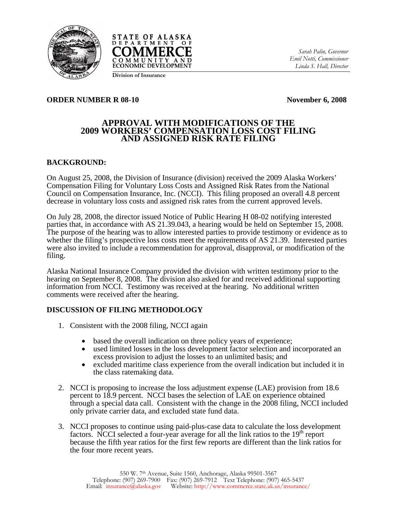



*Sarah Palin, Governor Emil Notti, Commissioner Linda S. Hall, Director* 

**Division of Insurance**

#### **ORDER NUMBER R 08-10** November 6, 2008

## **APPROVAL WITH MODIFICATIONS OF THE 2009 WORKERS' COMPENSATION LOSS COST FILING AND ASSIGNED RISK RATE FILING**

## **BACKGROUND:**

On August 25, 2008, the Division of Insurance (division) received the 2009 Alaska Workers' Compensation Filing for Voluntary Loss Costs and Assigned Risk Rates from the National Council on Compensation Insurance, Inc. (NCCI). This filing proposed an overall 4.8 percent decrease in voluntary loss costs and assigned risk rates from the current approved levels.

On July 28, 2008, the director issued Notice of Public Hearing H 08-02 notifying interested parties that, in accordance with AS 21.39.043, a hearing would be held on September 15, 2008. The purpose of the hearing was to allow interested parties to provide testimony or evidence as to whether the filing's prospective loss costs meet the requirements of AS 21.39. Interested parties were also invited to include a recommendation for approval, disapproval, or modification of the filing.

Alaska National Insurance Company provided the division with written testimony prior to the hearing on September 8, 2008. The division also asked for and received additional supporting information from NCCI. Testimony was received at the hearing. No additional written comments were received after the hearing.

## **DISCUSSION OF FILING METHODOLOGY**

- 1. Consistent with the 2008 filing, NCCI again
	- based the overall indication on three policy years of experience;
	- used limited losses in the loss development factor selection and incorporated an excess provision to adjust the losses to an unlimited basis; and
	- excluded maritime class experience from the overall indication but included it in the class ratemaking data.
- 2. NCCI is proposing to increase the loss adjustment expense (LAE) provision from 18.6 percent to 18.9 percent. NCCI bases the selection of LAE on experience obtained through a special data call. Consistent with the change in the 2008 filing, NCCI included only private carrier data, and excluded state fund data.
- 3. NCCI proposes to continue using paid-plus-case data to calculate the loss development factors. NCCI selected a four-year average for all the link ratios to the 19<sup>th</sup> report because the fifth year ratios for the first few reports are different than the link ratios for the four more recent years.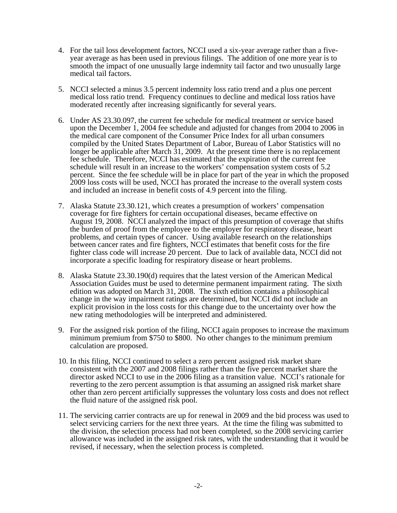- 4. For the tail loss development factors, NCCI used a six-year average rather than a fiveyear average as has been used in previous filings. The addition of one more year is to smooth the impact of one unusually large indemnity tail factor and two unusually large medical tail factors.
- 5. NCCI selected a minus 3.5 percent indemnity loss ratio trend and a plus one percent medical loss ratio trend. Frequency continues to decline and medical loss ratios have moderated recently after increasing significantly for several years.
- 6. Under AS 23.30.097, the current fee schedule for medical treatment or service based upon the December 1, 2004 fee schedule and adjusted for changes from 2004 to 2006 in the medical care component of the Consumer Price Index for all urban consumers compiled by the United States Department of Labor, Bureau of Labor Statistics will no longer be applicable after March  $\overline{31}$ , 2009. At the present time there is no replacement fee schedule. Therefore, NCCI has estimated that the expiration of the current fee schedule will result in an increase to the workers' compensation system costs of 5.2 percent. Since the fee schedule will be in place for part of the year in which the proposed 2009 loss costs will be used, NCCI has prorated the increase to the overall system costs and included an increase in benefit costs of 4.9 percent into the filing.
- 7. Alaska Statute 23.30.121, which creates a presumption of workers' compensation coverage for fire fighters for certain occupational diseases, became effective on August 19, 2008. NCCI analyzed the impact of this presumption of coverage that shifts the burden of proof from the employee to the employer for respiratory disease, heart problems, and certain types of cancer. Using available research on the relationships between cancer rates and fire fighters, NCCI estimates that benefit costs for the fire fighter class code will increase 20 percent. Due to lack of available data, NCCI did not incorporate a specific loading for respiratory disease or heart problems.
- 8. Alaska Statute 23.30.190(d) requires that the latest version of the American Medical Association Guides must be used to determine permanent impairment rating. The sixth edition was adopted on March 31, 2008. The sixth edition contains a philosophical change in the way impairment ratings are determined, but NCCI did not include an explicit provision in the loss costs for this change due to the uncertainty over how the new rating methodologies will be interpreted and administered.
- 9. For the assigned risk portion of the filing, NCCI again proposes to increase the maximum minimum premium from \$750 to \$800. No other changes to the minimum premium calculation are proposed.
- 10. In this filing, NCCI continued to select a zero percent assigned risk market share consistent with the 2007 and 2008 filings rather than the five percent market share the director asked NCCI to use in the 2006 filing as a transition value. NCCI's rationale for reverting to the zero percent assumption is that assuming an assigned risk market share other than zero percent artificially suppresses the voluntary loss costs and does not reflect the fluid nature of the assigned risk pool.
- 11. The servicing carrier contracts are up for renewal in 2009 and the bid process was used to select servicing carriers for the next three years. At the time the filing was submitted to the division, the selection process had not been completed, so the 2008 servicing carrier allowance was included in the assigned risk rates, with the understanding that it would be revised, if necessary, when the selection process is completed.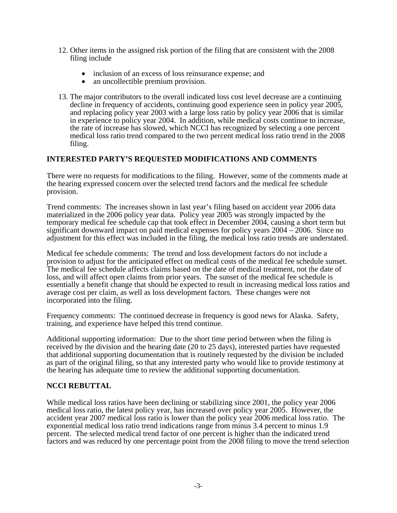- 12. Other items in the assigned risk portion of the filing that are consistent with the 2008 filing include
	- inclusion of an excess of loss reinsurance expense; and an uncollectible premium provision.
	-
- 13. The major contributors to the overall indicated loss cost level decrease are a continuing decline in frequency of accidents, continuing good experience seen in policy year 2005, and replacing policy year 2003 with a large loss ratio by policy year 2006 that is similar in experience to policy year 2004. In addition, while medical costs continue to increase, the rate of increase has slowed, which NCCI has recognized by selecting a one percent medical loss ratio trend compared to the two percent medical loss ratio trend in the 2008 filing.

# **INTERESTED PARTY'S REQUESTED MODIFICATIONS AND COMMENTS**

There were no requests for modifications to the filing. However, some of the comments made at the hearing expressed concern over the selected trend factors and the medical fee schedule provision.

Trend comments: The increases shown in last year's filing based on accident year 2006 data materialized in the 2006 policy year data. Policy year 2005 was strongly impacted by the temporary medical fee schedule cap that took effect in December 2004, causing a short term but significant downward impact on paid medical expenses for policy years 2004 – 2006. Since no adjustment for this effect was included in the filing, the medical loss ratio trends are understated.

Medical fee schedule comments: The trend and loss development factors do not include a provision to adjust for the anticipated effect on medical costs of the medical fee schedule sunset. The medical fee schedule affects claims based on the date of medical treatment, not the date of loss, and will affect open claims from prior years. The sunset of the medical fee schedule is essentially a benefit change that should be expected to result in increasing medical loss ratios and average cost per claim, as well as loss development factors. These changes were not incorporated into the filing.

Frequency comments: The continued decrease in frequency is good news for Alaska. Safety, training, and experience have helped this trend continue.

Additional supporting information: Due to the short time period between when the filing is received by the division and the hearing date (20 to 25 days), interested parties have requested that additional supporting documentation that is routinely requested by the division be included as part of the original filing, so that any interested party who would like to provide testimony at the hearing has adequate time to review the additional supporting documentation.

# **NCCI REBUTTAL**

While medical loss ratios have been declining or stabilizing since 2001, the policy year 2006 medical loss ratio, the latest policy year, has increased over policy year 2005. However, the accident year 2007 medical loss ratio is lower than the policy year 2006 medical loss ratio. The exponential medical loss ratio trend indications range from minus 3.4 percent to minus 1.9 percent. The selected medical trend factor of one percent is higher than the indicated trend factors and was reduced by one percentage point from the 2008 filing to move the trend selection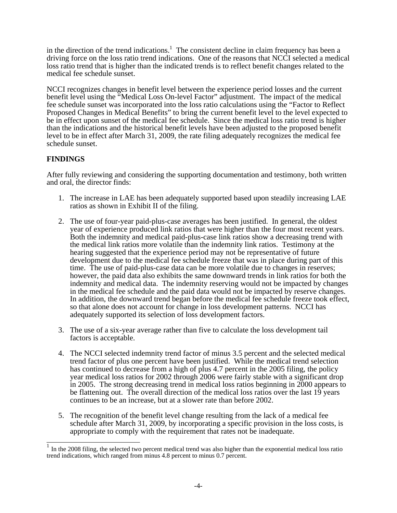in the direction of the trend indications.<sup>1</sup> The consistent decline in claim frequency has been a driving force on the loss ratio trend indications. One of the reasons that NCCI selected a medical loss ratio trend that is higher than the indicated trends is to reflect benefit changes related to the medical fee schedule sunset.

NCCI recognizes changes in benefit level between the experience period losses and the current benefit level using the "Medical Loss On-level Factor" adjustment. The impact of the medical fee schedule sunset was incorporated into the loss ratio calculations using the "Factor to Reflect Proposed Changes in Medical Benefits" to bring the current benefit level to the level expected to be in effect upon sunset of the medical fee schedule. Since the medical loss ratio trend is higher than the indications and the historical benefit levels have been adjusted to the proposed benefit level to be in effect after March 31, 2009, the rate filing adequately recognizes the medical fee schedule sunset.

# **FINDINGS**

After fully reviewing and considering the supporting documentation and testimony, both written and oral, the director finds:

- 1. The increase in LAE has been adequately supported based upon steadily increasing LAE ratios as shown in Exhibit II of the filing.
- 2. The use of four-year paid-plus-case averages has been justified. In general, the oldest year of experience produced link ratios that were higher than the four most recent years. Both the indemnity and medical paid-plus-case link ratios show a decreasing trend with the medical link ratios more volatile than the indemnity link ratios. Testimony at the hearing suggested that the experience period may not be representative of future development due to the medical fee schedule freeze that was in place during part of this time. The use of paid-plus-case data can be more volatile due to changes in reserves; however, the paid data also exhibits the same downward trends in link ratios for both the indemnity and medical data. The indemnity reserving would not be impacted by changes in the medical fee schedule and the paid data would not be impacted by reserve changes. In addition, the downward trend began before the medical fee schedule freeze took effect, so that alone does not account for change in loss development patterns. NCCI has adequately supported its selection of loss development factors.
- 3. The use of a six-year average rather than five to calculate the loss development tail factors is acceptable.
- 4. The NCCI selected indemnity trend factor of minus 3.5 percent and the selected medical trend factor of plus one percent have been justified. While the medical trend selection has continued to decrease from a high of plus 4.7 percent in the 2005 filing, the policy year medical loss ratios for 2002 through 2006 were fairly stable with a significant drop in 2005. The strong decreasing trend in medical loss ratios beginning in 2000 appears to be flattening out. The overall direction of the medical loss ratios over the last 19 years continues to be an increase, but at a slower rate than before 2002.
- 5. The recognition of the benefit level change resulting from the lack of a medical fee schedule after March 31, 2009, by incorporating a specific provision in the loss costs, is appropriate to comply with the requirement that rates not be inadequate.

In the 2008 filing, the selected two percent medical trend was also higher than the exponential medical loss ratio trend indications, which ranged from minus 4.8 percent to minus 0.7 percent.